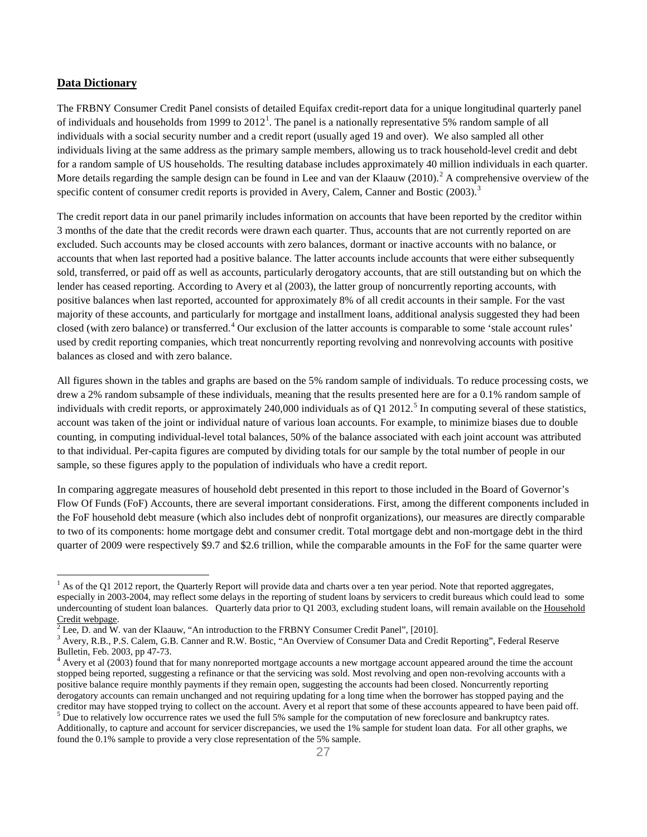## **Data Dictionary**

l

The FRBNY Consumer Credit Panel consists of detailed Equifax credit-report data for a unique longitudinal quarterly panel of individuals and households from [1](#page-0-0)999 to  $2012<sup>1</sup>$ . The panel is a nationally representative 5% random sample of all individuals with a social security number and a credit report (usually aged 19 and over). We also sampled all other individuals living at the same address as the primary sample members, allowing us to track household-level credit and debt for a random sample of US households. The resulting database includes approximately 40 million individuals in each quarter. More details regarding the sample design can be found in Lee and van der Klaauw ([2](#page-0-1)010).<sup>2</sup> A comprehensive overview of the specific content of consumer credit reports is provided in Avery, Calem, Canner and Bostic (200[3](#page-0-2)).<sup>3</sup>

The credit report data in our panel primarily includes information on accounts that have been reported by the creditor within 3 months of the date that the credit records were drawn each quarter. Thus, accounts that are not currently reported on are excluded. Such accounts may be closed accounts with zero balances, dormant or inactive accounts with no balance, or accounts that when last reported had a positive balance. The latter accounts include accounts that were either subsequently sold, transferred, or paid off as well as accounts, particularly derogatory accounts, that are still outstanding but on which the lender has ceased reporting. According to Avery et al (2003), the latter group of noncurrently reporting accounts, with positive balances when last reported, accounted for approximately 8% of all credit accounts in their sample. For the vast majority of these accounts, and particularly for mortgage and installment loans, additional analysis suggested they had been closed (with zero balance) or transferred.<sup>[4](#page-0-3)</sup> Our exclusion of the latter accounts is comparable to some 'stale account rules' used by credit reporting companies, which treat noncurrently reporting revolving and nonrevolving accounts with positive balances as closed and with zero balance.

All figures shown in the tables and graphs are based on the 5% random sample of individuals. To reduce processing costs, we drew a 2% random subsample of these individuals, meaning that the results presented here are for a 0.1% random sample of individuals with credit reports, or approximately 240,000 individuals as of Q1 2012.<sup>[5](#page-0-4)</sup> In computing several of these statistics, account was taken of the joint or individual nature of various loan accounts. For example, to minimize biases due to double counting, in computing individual-level total balances, 50% of the balance associated with each joint account was attributed to that individual. Per-capita figures are computed by dividing totals for our sample by the total number of people in our sample, so these figures apply to the population of individuals who have a credit report.

In comparing aggregate measures of household debt presented in this report to those included in the Board of Governor's Flow Of Funds (FoF) Accounts, there are several important considerations. First, among the different components included in the FoF household debt measure (which also includes debt of nonprofit organizations), our measures are directly comparable to two of its components: home mortgage debt and consumer credit. Total mortgage debt and non-mortgage debt in the third quarter of 2009 were respectively \$9.7 and \$2.6 trillion, while the comparable amounts in the FoF for the same quarter were

<span id="page-0-0"></span> $1$  As of the Q1 2012 report, the Quarterly Report will provide data and charts over a ten year period. Note that reported aggregates, especially in 2003-2004, may reflect some delays in the reporting of student loans by servicers to credit bureaus which could lead to some undercounting of student loan balances. Quarterly data prior to Q1 2003, excluding student loans, will remain available on the [Household](http://www.newyorkfed.org/creditconditions/index.html) Credit webpage.<br> $\frac{2 \text{ kg}}{2 \text{ kg}}$  and W year data Klesuw, "An interdeption to the E

Lee, D. and W. van der Klaauw, "An introduction to the FRBNY Consumer Credit Panel", [2010].

<span id="page-0-2"></span><span id="page-0-1"></span><sup>&</sup>lt;sup>3</sup> Avery, R.B., P.S. Calem, G.B. Canner and R.W. Bostic, "An Overview of Consumer Data and Credit Reporting", Federal Reserve Bulletin, Feb. 2003, pp 47-73.

<span id="page-0-4"></span><span id="page-0-3"></span> $4$  Avery et al (2003) found that for many nonreported mortgage accounts a new mortgage account appeared around the time the account stopped being reported, suggesting a refinance or that the servicing was sold. Most revolving and open non-revolving accounts with a positive balance require monthly payments if they remain open, suggesting the accounts had been closed. Noncurrently reporting derogatory accounts can remain unchanged and not requiring updating for a long time when the borrower has stopped paying and the creditor may have stopped trying to collect on the account. Avery et al report that some of t  $\frac{5}{2}$  Due to relatively low occurrence rates we used the full 5% sample for the computation of new foreclosure and bankruptcy rates. Additionally, to capture and account for servicer discrepancies, we used the 1% sample for student loan data. For all other graphs, we found the 0.1% sample to provide a very close representation of the 5% sample.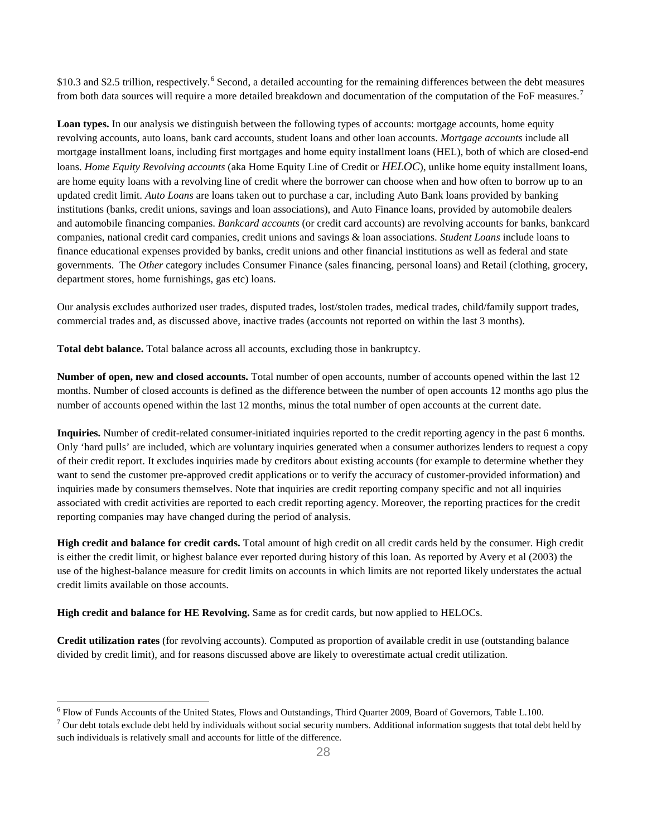\$10.3 and \$2.5 trillion, respectively.<sup>[6](#page-1-0)</sup> Second, a detailed accounting for the remaining differences between the debt measures from both data sources will require a more detailed breakdown and documentation of the computation of the FoF measures.<sup>[7](#page-1-1)</sup>

Loan types. In our analysis we distinguish between the following types of accounts: mortgage accounts, home equity revolving accounts, auto loans, bank card accounts, student loans and other loan accounts. *Mortgage accounts* include all mortgage installment loans, including first mortgages and home equity installment loans (HEL), both of which are closed-end loans. *Home Equity Revolving accounts* (aka Home Equity Line of Credit or *HELOC*), unlike home equity installment loans, are home equity loans with a revolving line of credit where the borrower can choose when and how often to borrow up to an updated credit limit. *Auto Loans* are loans taken out to purchase a car, including Auto Bank loans provided by banking institutions (banks, credit unions, savings and loan associations), and Auto Finance loans, provided by automobile dealers and automobile financing companies. *Bankcard accounts* (or credit card accounts) are revolving accounts for banks, bankcard companies, national credit card companies, credit unions and savings & loan associations. *Student Loans* include loans to finance educational expenses provided by banks, credit unions and other financial institutions as well as federal and state governments. The *Other* category includes Consumer Finance (sales financing, personal loans) and Retail (clothing, grocery, department stores, home furnishings, gas etc) loans.

Our analysis excludes authorized user trades, disputed trades, lost/stolen trades, medical trades, child/family support trades, commercial trades and, as discussed above, inactive trades (accounts not reported on within the last 3 months).

**Total debt balance.** Total balance across all accounts, excluding those in bankruptcy.

**Number of open, new and closed accounts.** Total number of open accounts, number of accounts opened within the last 12 months. Number of closed accounts is defined as the difference between the number of open accounts 12 months ago plus the number of accounts opened within the last 12 months, minus the total number of open accounts at the current date.

**Inquiries.** Number of credit-related consumer-initiated inquiries reported to the credit reporting agency in the past 6 months. Only 'hard pulls' are included, which are voluntary inquiries generated when a consumer authorizes lenders to request a copy of their credit report. It excludes inquiries made by creditors about existing accounts (for example to determine whether they want to send the customer pre-approved credit applications or to verify the accuracy of customer-provided information) and inquiries made by consumers themselves. Note that inquiries are credit reporting company specific and not all inquiries associated with credit activities are reported to each credit reporting agency. Moreover, the reporting practices for the credit reporting companies may have changed during the period of analysis.

**High credit and balance for credit cards.** Total amount of high credit on all credit cards held by the consumer. High credit is either the credit limit, or highest balance ever reported during history of this loan. As reported by Avery et al (2003) the use of the highest-balance measure for credit limits on accounts in which limits are not reported likely understates the actual credit limits available on those accounts.

**High credit and balance for HE Revolving.** Same as for credit cards, but now applied to HELOCs.

 $\overline{\phantom{a}}$ 

**Credit utilization rates** (for revolving accounts). Computed as proportion of available credit in use (outstanding balance divided by credit limit), and for reasons discussed above are likely to overestimate actual credit utilization.

<span id="page-1-0"></span><sup>6</sup> Flow of Funds Accounts of the United States, Flows and Outstandings, Third Quarter 2009, Board of Governors, Table L.100.

<span id="page-1-1"></span> $7$  Our debt totals exclude debt held by individuals without social security numbers. Additional information suggests that total debt held by such individuals is relatively small and accounts for little of the difference.